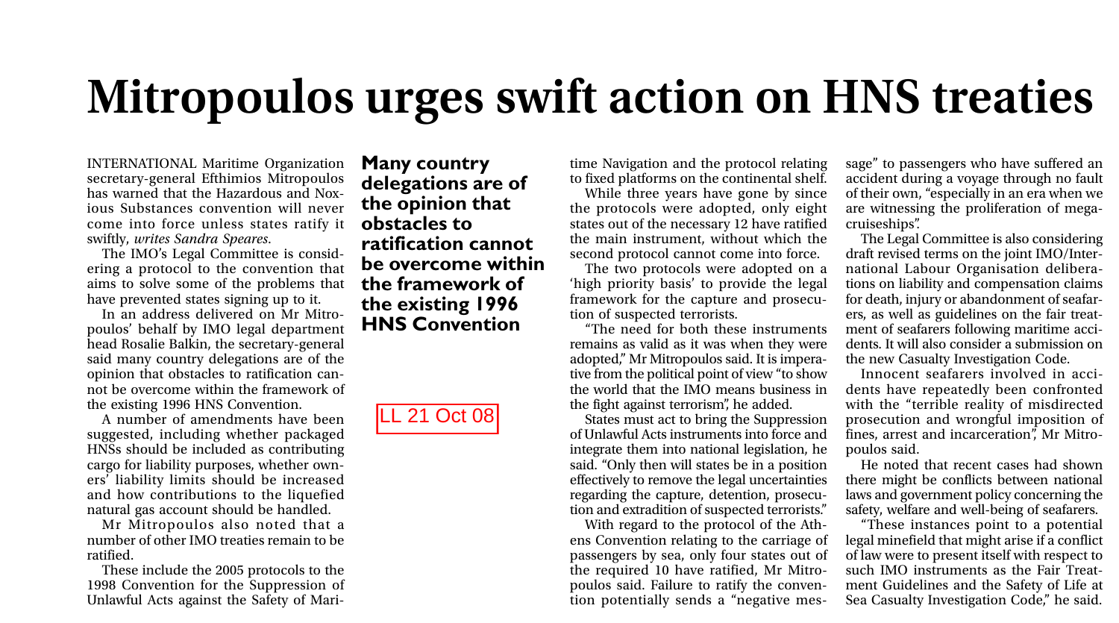## **Mitropoulos urges swift action on HNS treaties**

INTERNATIONAL Maritime Organization secretary-general Efthimios Mitropoulos has warned that the Hazardous and Noxious Substances convention will never come into force unless states ratify it swiftly, *writes Sandra Speares*.

The IMO's Legal Committee is considering a protocol to the convention that aims to solve some of the problems that have prevented states signing up to it.

In an address delivered on Mr Mitropoulos' behalf by IMO legal department head Rosalie Balkin, the secretary-general said many country delegations are of the opinion that obstacles to ratification cannot be overcome within the framework of the existing 1996 HNS Convention.

A number of amendments have been suggested, including whether packaged HNSs should be included as contributing cargo for liability purposes, whether owners' liability limits should be increased and how contributions to the liquefied natural gas account should be handled.

Mr Mitropoulos also noted that a number of other IMO treaties remain to be ratified.

These include the 2005 protocols to the 1998 Convention for the Suppression of Unlawful Acts against the Safety of Mari-

**Many country delegations are of the opinion that obstacles to ratification cannot be overcome within the framework of the existing 1996 HNS Convention**

LL 21 Oct 08

time Navigation and the protocol relating to fixed platforms on the continental shelf.

While three years have gone by since the protocols were adopted, only eight states out of the necessary 12 have ratified the main instrument, without which the second protocol cannot come into force.

The two protocols were adopted on a 'high priority basis' to provide the legal framework for the capture and prosecution of suspected terrorists.

"The need for both these instruments remains as valid as it was when they were adopted," Mr Mitropoulos said. It is imperative from the political point of view "to show the world that the IMO means business in the fight against terrorism", he added.

States must act to bring the Suppression of Unlawful Acts instruments into force and integrate them into national legislation, he said. "Only then will states be in a position effectively to remove the legal uncertainties regarding the capture, detention, prosecution and extradition of suspected terrorists."

With regard to the protocol of the Athens Convention relating to the carriage of passengers by sea, only four states out of the required 10 have ratified, Mr Mitropoulos said. Failure to ratify the convention potentially sends a "negative message" to passengers who have suffered an accident during a voyage through no fault of their own, "especially in an era when we are witnessing the proliferation of megacruiseships".

The Legal Committee is also considering draft revised terms on the joint IMO/International Labour Organisation deliberations on liability and compensation claims for death, injury or abandonment of seafarers, as well as guidelines on the fair treatment of seafarers following maritime accidents. It will also consider a submission on the new Casualty Investigation Code.

Innocent seafarers involved in accidents have repeatedly been confronted with the "terrible reality of misdirected prosecution and wrongful imposition of fines, arrest and incarceration", Mr Mitropoulos said.

He noted that recent cases had shown there might be conflicts between national laws and government policy concerning the safety, welfare and well-being of seafarers.

"These instances point to a potential legal minefield that might arise if a conflict of law were to present itself with respect to such IMO instruments as the Fair Treatment Guidelines and the Safety of Life at Sea Casualty Investigation Code," he said.